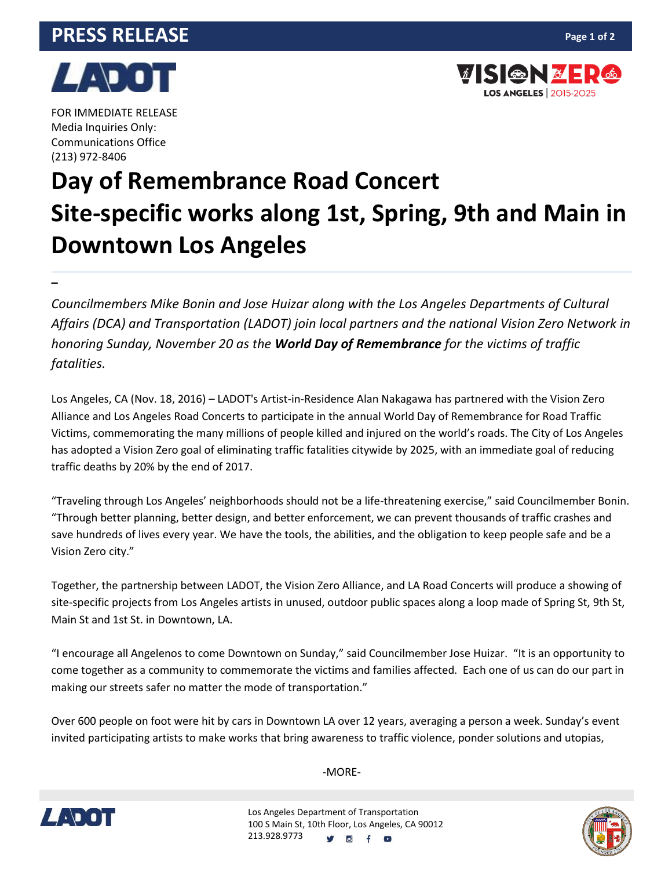## **PRESS RELEASE**



**VISION & E** 

**LOS ANGELES** | 2015-2025



FOR IMMEDIATE RELEASE Media Inquiries Only: Communications Office (213) 972-8406

**–**

## **Day of Remembrance Road Concert Site-specific works along 1st, Spring, 9th and Main in Downtown Los Angeles**

*Councilmembers Mike Bonin and Jose Huizar along with the Los Angeles Departments of Cultural Affairs (DCA) and Transportation (LADOT) join local partners and the national Vision Zero Network in honoring Sunday, November 20 as the World Day of Remembrance for the victims of traffic fatalities.*

Los Angeles, CA (Nov. 18, 2016) – LADOT's Artist-in-Residence Alan Nakagawa has partnered with the Vision Zero Alliance and Los Angeles Road Concerts to participate in the annual World Day of Remembrance for Road Traffic Victims, commemorating the many millions of people killed and injured on the world's roads. The City of Los Angeles has adopted a Vision Zero goal of eliminating traffic fatalities citywide by 2025, with an immediate goal of reducing traffic deaths by 20% by the end of 2017.

"Traveling through Los Angeles' neighborhoods should not be a life-threatening exercise," said Councilmember Bonin. "Through better planning, better design, and better enforcement, we can prevent thousands of traffic crashes and save hundreds of lives every year. We have the tools, the abilities, and the obligation to keep people safe and be a Vision Zero city."

Together, the partnership between LADOT, the Vision Zero Alliance, and LA Road Concerts will produce a showing of site-specific projects from Los Angeles artists in unused, outdoor public spaces along a loop made of Spring St, 9th St, Main St and 1st St. in Downtown, LA.

"I encourage all Angelenos to come Downtown on Sunday," said Councilmember Jose Huizar. "It is an opportunity to come together as a community to commemorate the victims and families affected. Each one of us can do our part in making our streets safer no matter the mode of transportation."

Over 600 people on foot were hit by cars in Downtown LA over 12 years, averaging a person a week. Sunday's event invited participating artists to make works that bring awareness to traffic violence, ponder solutions and utopias,



-MORE-

Los Angeles Department of Transportation 100 S Main St, 10th Floor, Los Angeles, CA 90012 213.928.9773 **IC**  $f$   $\bullet$